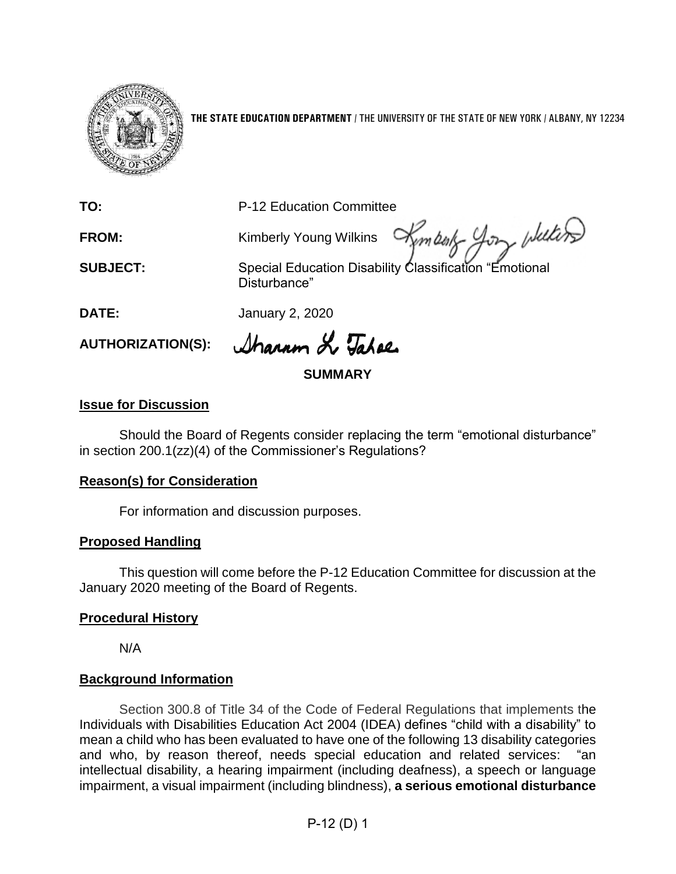

**THE STATE EDUCATION DEPARTMENT** / THE UNIVERSITY OF THE STATE OF NEW YORK / ALBANY, NY 12234

**TO:** P-12 Education Committee

FROM: Kimberly Young Wilkins

**SUBJECT:** Special Education Disability Classification "Emotional Disturbance"

Kimballs your welling

**DATE:** January 2, 2020

AUTHORIZATION(S): *Aharm & Taher* 

## **SUMMARY**

## **Issue for Discussion**

Should the Board of Regents consider replacing the term "emotional disturbance" in section 200.1(zz)(4) of the Commissioner's Regulations?

### **Reason(s) for Consideration**

For information and discussion purposes.

# **Proposed Handling**

This question will come before the P-12 Education Committee for discussion at the January 2020 meeting of the Board of Regents.

### **Procedural History**

N/A

# **Background Information**

Section 300.8 of Title 34 of the Code of Federal Regulations that implements the Individuals with Disabilities Education Act 2004 (IDEA) defines "child with a disability" to mean a child who has been evaluated to have one of the following 13 disability categories and who, by reason thereof, needs special education and related services: "an intellectual disability, a hearing impairment (including deafness), a speech or language impairment, a visual impairment (including blindness), **a serious emotional disturbance** 

P-12 (D) 1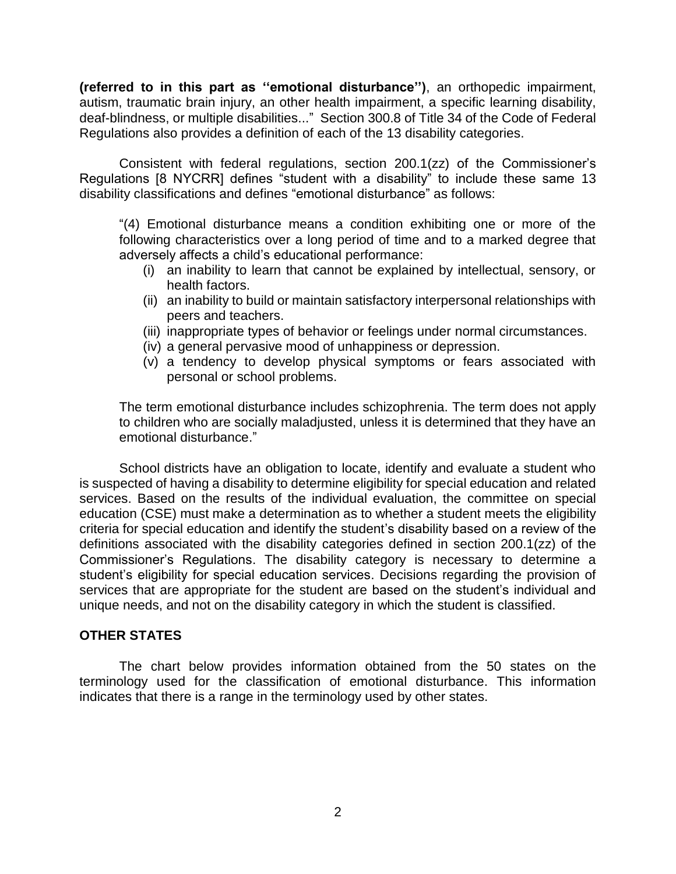**(referred to in this part as ''emotional disturbance'')**, an orthopedic impairment, autism, traumatic brain injury, an other health impairment, a specific learning disability, deaf-blindness, or multiple disabilities..." Section 300.8 of Title 34 of the Code of Federal Regulations also provides a definition of each of the 13 disability categories.

Consistent with federal regulations, section 200.1(zz) of the Commissioner's Regulations [8 NYCRR] defines "student with a disability" to include these same 13 disability classifications and defines "emotional disturbance" as follows:

"(4) Emotional disturbance means a condition exhibiting one or more of the following characteristics over a long period of time and to a marked degree that adversely affects a child's educational performance:

- (i) an inability to learn that cannot be explained by intellectual, sensory, or health factors.
- (ii) an inability to build or maintain satisfactory interpersonal relationships with peers and teachers.
- (iii) inappropriate types of behavior or feelings under normal circumstances.
- (iv) a general pervasive mood of unhappiness or depression.
- (v) a tendency to develop physical symptoms or fears associated with personal or school problems.

The term emotional disturbance includes schizophrenia. The term does not apply to children who are socially maladjusted, unless it is determined that they have an emotional disturbance."

School districts have an obligation to locate, identify and evaluate a student who is suspected of having a disability to determine eligibility for special education and related services. Based on the results of the individual evaluation, the committee on special education (CSE) must make a determination as to whether a student meets the eligibility criteria for special education and identify the student's disability based on a review of the definitions associated with the disability categories defined in section 200.1(zz) of the Commissioner's Regulations. The disability category is necessary to determine a student's eligibility for special education services. Decisions regarding the provision of services that are appropriate for the student are based on the student's individual and unique needs, and not on the disability category in which the student is classified.

#### **OTHER STATES**

The chart below provides information obtained from the 50 states on the terminology used for the classification of emotional disturbance. This information indicates that there is a range in the terminology used by other states.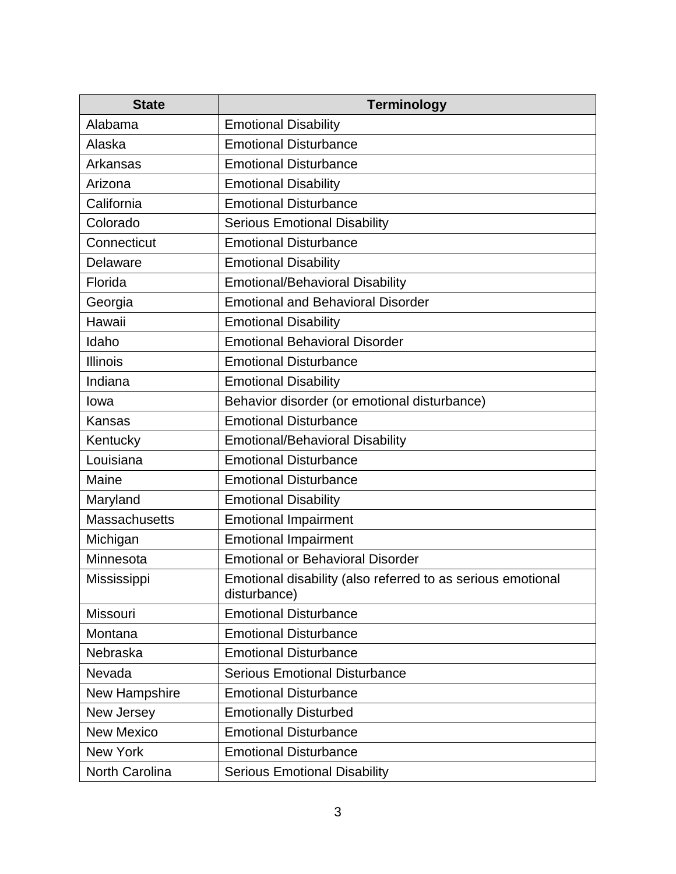| <b>State</b>         | <b>Terminology</b>                                                          |
|----------------------|-----------------------------------------------------------------------------|
| Alabama              | <b>Emotional Disability</b>                                                 |
| Alaska               | <b>Emotional Disturbance</b>                                                |
| Arkansas             | <b>Emotional Disturbance</b>                                                |
| Arizona              | <b>Emotional Disability</b>                                                 |
| California           | <b>Emotional Disturbance</b>                                                |
| Colorado             | <b>Serious Emotional Disability</b>                                         |
| Connecticut          | <b>Emotional Disturbance</b>                                                |
| Delaware             | <b>Emotional Disability</b>                                                 |
| Florida              | <b>Emotional/Behavioral Disability</b>                                      |
| Georgia              | <b>Emotional and Behavioral Disorder</b>                                    |
| Hawaii               | <b>Emotional Disability</b>                                                 |
| Idaho                | <b>Emotional Behavioral Disorder</b>                                        |
| <b>Illinois</b>      | <b>Emotional Disturbance</b>                                                |
| Indiana              | <b>Emotional Disability</b>                                                 |
| lowa                 | Behavior disorder (or emotional disturbance)                                |
| Kansas               | <b>Emotional Disturbance</b>                                                |
| Kentucky             | <b>Emotional/Behavioral Disability</b>                                      |
| Louisiana            | <b>Emotional Disturbance</b>                                                |
| Maine                | <b>Emotional Disturbance</b>                                                |
| Maryland             | <b>Emotional Disability</b>                                                 |
| <b>Massachusetts</b> | <b>Emotional Impairment</b>                                                 |
| Michigan             | <b>Emotional Impairment</b>                                                 |
| Minnesota            | <b>Emotional or Behavioral Disorder</b>                                     |
| Mississippi          | Emotional disability (also referred to as serious emotional<br>disturbance) |
| Missouri             | <b>Emotional Disturbance</b>                                                |
| Montana              | <b>Emotional Disturbance</b>                                                |
| Nebraska             | <b>Emotional Disturbance</b>                                                |
| Nevada               | <b>Serious Emotional Disturbance</b>                                        |
| New Hampshire        | <b>Emotional Disturbance</b>                                                |
| New Jersey           | <b>Emotionally Disturbed</b>                                                |
| <b>New Mexico</b>    | <b>Emotional Disturbance</b>                                                |
| <b>New York</b>      | <b>Emotional Disturbance</b>                                                |
| North Carolina       | <b>Serious Emotional Disability</b>                                         |